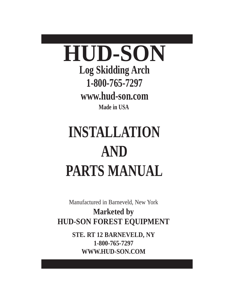

**www.hud-son.com**

**Made in USA**

# **INSTALLATION AND PARTS MANUAL**

Manufactured in Barneveld, New York

**Marketed by HUD-SON FOREST EQUIPMENT**

> **STE. RT 12 BARNEVELD, NY 1-800-765-7297 WWW.HUD-SON.COM**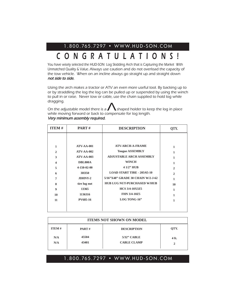## 1.800.765.7297 • WWW.HUD-SON.COM

# CONGRATULATIONS!

You have wisely selected the HUD-SON Log Skidding Arch that is Capturing the Market With Unmatched Quality & Value. Always use caution and do not overload the capacity of the tow vehicle. When on an incline always go straight up and straight down not side to side.

Using the arch makes a tractor or ATV an even more useful tool. By backing up to or by straddling the log the log can be pulled up or suspended by using the winch to pull in or raise. Never tow or cable, use the chain supplied to hold log while dragging.  $P$  be p<br>Dle, us<br> $\bigwedge$ 

On the adjustable model there is a  $\sum$  shaped holder to keep the log in place while moving forward or back to compensate for log length. Very minimum assembly required.

| <b>ITEM#</b>                                                                                                   | <b>PART#</b>                                                                                                                               | <b>DESCRIPTION</b>                                                                                                                                                                                                                                                           | QTY.                                                                    |
|----------------------------------------------------------------------------------------------------------------|--------------------------------------------------------------------------------------------------------------------------------------------|------------------------------------------------------------------------------------------------------------------------------------------------------------------------------------------------------------------------------------------------------------------------------|-------------------------------------------------------------------------|
| 1<br>$\overline{2}$<br>3<br>$\overline{\mathbf{4}}$<br>5<br>6<br>$\overline{7}$<br>8<br>$\boldsymbol{9}$<br>10 | $ATV-AA-001$<br><b>ATV-AA-002</b><br>$ATV-AA-003$<br><b>DBL800A</b><br>4-150-02-00<br>3H350<br>JDHNY-2<br>tire lug nut<br>13365<br>1136316 | <b>ATV-ARCH-A-FRAME</b><br><b>Tougue ASSEMBLY</b><br><b>ADJUSTABLE ARCH ASSEMBLY</b><br><b>WINCH</b><br>4 1/2" HUB<br><b>LOAD START TIRE - 205/65-10</b><br>5/16"X48" GRADE 30 CHAIN W/2-J-62<br><b>HUB LUG NUT-PURCHASED W/HUB</b><br>HCS 3/4-10X3Z5<br><b>FHN 3/4-10Z5</b> | 1<br>1<br>1<br>1<br>$\overline{2}$<br>$\mathbf{2}$<br>1<br>10<br>1<br>1 |
| 11                                                                                                             | <b>PV685-16</b>                                                                                                                            | LOG TONG-16"                                                                                                                                                                                                                                                                 | $\mathbf{1}$                                                            |

| <b>ITEMS NOT SHOWN ON MODEL</b> |                |                                      |            |  |
|---------------------------------|----------------|--------------------------------------|------------|--|
| <b>ITEM#</b>                    | PART#          | <b>DESCRIPTION</b>                   | OTY.       |  |
| N/A<br>N/A                      | 45504<br>43401 | $5/32$ " CABLE<br><b>CABLE CLAMP</b> | 4 ft.<br>↑ |  |

#### 1.800.765.7297 • WWW.HUD-SON.COM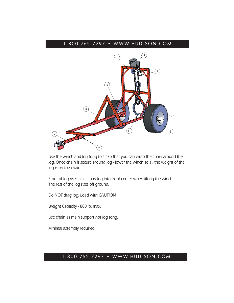#### 1.800.765.7297 • WWW.HUD-SON.COM



Use the winch and log tong to lift so that you can wrap the chain around the log. Once chain is secure around log - lower the winch so all the weight of the log is on the chain.

Front of log rises first. Load log into front center when lifting the winch. The rest of the log rises off ground.

Do NOT drag log. Load with CAUTION.

Weight Capacity - 800 lb. max.

Use chain as main support not log tong.

Minimal assembly required.

#### 1.800.765.7297 • WWW.HUD-SON.COM